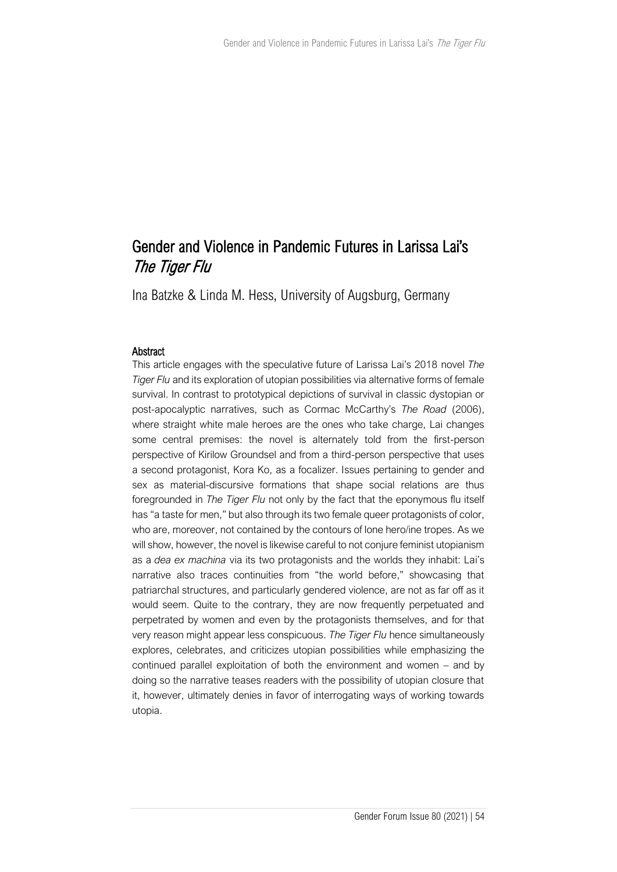# Gender and Violence in Pandemic Futures in Larissa Lai's The Tiger Flu

Ina Batzke & Linda M. Hess, University of Augsburg, Germany

## **Abstract**

This article engages with the speculative future of Larissa Lai's 2018 novel *The Tiger Flu* and its exploration of utopian possibilities via alternative forms of female survival. In contrast to prototypical depictions of survival in classic dystopian or post-apocalyptic narratives, such as Cormac McCarthy's *The Road* (2006), where straight white male heroes are the ones who take charge, Lai changes some central premises: the novel is alternately told from the first-person perspective of Kirilow Groundsel and from a third-person perspective that uses a second protagonist, Kora Ko, as a focalizer. Issues pertaining to gender and sex as material-discursive formations that shape social relations are thus foregrounded in *The Tiger Flu* not only by the fact that the eponymous flu itself has "a taste for men," but also through its two female queer protagonists of color, who are, moreover, not contained by the contours of lone hero/ine tropes. As we will show, however, the novel is likewise careful to not conjure feminist utopianism as a *dea ex machina* via its two protagonists and the worlds they inhabit: Lai's narrative also traces continuities from "the world before," showcasing that patriarchal structures, and particularly gendered violence, are not as far off as it would seem. Quite to the contrary, they are now frequently perpetuated and perpetrated by women and even by the protagonists themselves, and for that very reason might appear less conspicuous. *The Tiger Flu* hence simultaneously explores, celebrates, and criticizes utopian possibilities while emphasizing the continued parallel exploitation of both the environment and women – and by doing so the narrative teases readers with the possibility of utopian closure that it, however, ultimately denies in favor of interrogating ways of working towards utopia.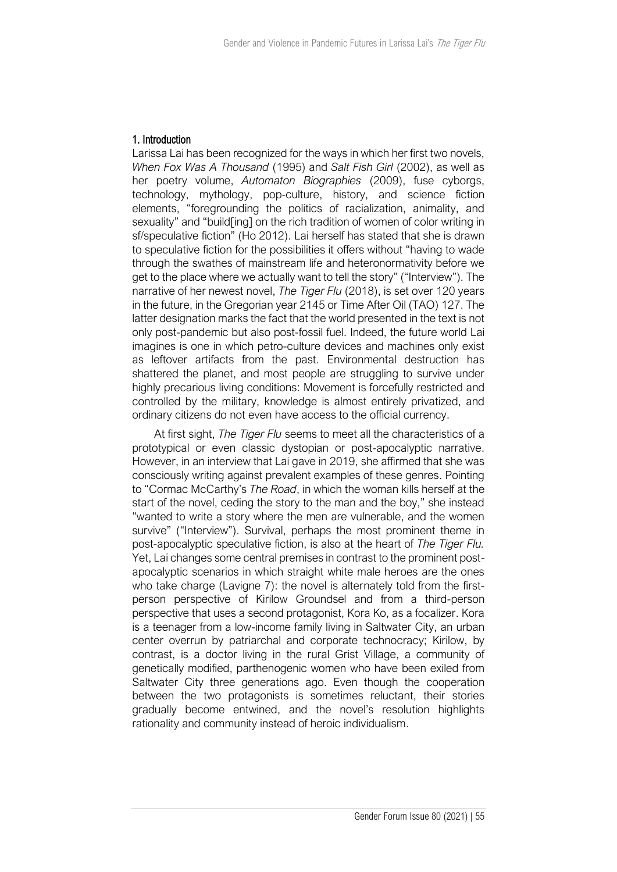## 1. Introduction

Larissa Lai has been recognized for the ways in which her first two novels, *When Fox Was A Thousand* (1995) and *Salt Fish Girl* (2002), as well as her poetry volume, *Automaton Biographies* (2009), fuse cyborgs, technology, mythology, pop-culture, history, and science fiction elements, "foregrounding the politics of racialization, animality, and sexuality" and "build[ing] on the rich tradition of women of color writing in sf/speculative fiction" (Ho 2012). Lai herself has stated that she is drawn to speculative fiction for the possibilities it offers without "having to wade through the swathes of mainstream life and heteronormativity before we get to the place where we actually want to tell the story" ("Interview"). The narrative of her newest novel, *The Tiger Flu* (2018), is set over 120 years in the future, in the Gregorian year 2145 or Time After Oil (TAO) 127. The latter designation marks the fact that the world presented in the text is not only post-pandemic but also post-fossil fuel. Indeed, the future world Lai imagines is one in which petro-culture devices and machines only exist as leftover artifacts from the past. Environmental destruction has shattered the planet, and most people are struggling to survive under highly precarious living conditions: Movement is forcefully restricted and controlled by the military, knowledge is almost entirely privatized, and ordinary citizens do not even have access to the official currency.

At first sight, *The Tiger Flu* seems to meet all the characteristics of a prototypical or even classic dystopian or post-apocalyptic narrative. However, in an interview that Lai gave in 2019, she affirmed that she was consciously writing against prevalent examples of these genres. Pointing to "Cormac McCarthy's *The Road*, in which the woman kills herself at the start of the novel, ceding the story to the man and the boy," she instead "wanted to write a story where the men are vulnerable, and the women survive" ("Interview"). Survival, perhaps the most prominent theme in post-apocalyptic speculative fiction, is also at the heart of *The Tiger Flu.* Yet, Lai changes some central premises in contrast to the prominent postapocalyptic scenarios in which straight white male heroes are the ones who take charge (Lavigne 7): the novel is alternately told from the firstperson perspective of Kirilow Groundsel and from a third-person perspective that uses a second protagonist, Kora Ko, as a focalizer. Kora is a teenager from a low-income family living in Saltwater City, an urban center overrun by patriarchal and corporate technocracy; Kirilow, by contrast, is a doctor living in the rural Grist Village, a community of genetically modified, parthenogenic women who have been exiled from Saltwater City three generations ago. Even though the cooperation between the two protagonists is sometimes reluctant, their stories gradually become entwined, and the novel's resolution highlights rationality and community instead of heroic individualism.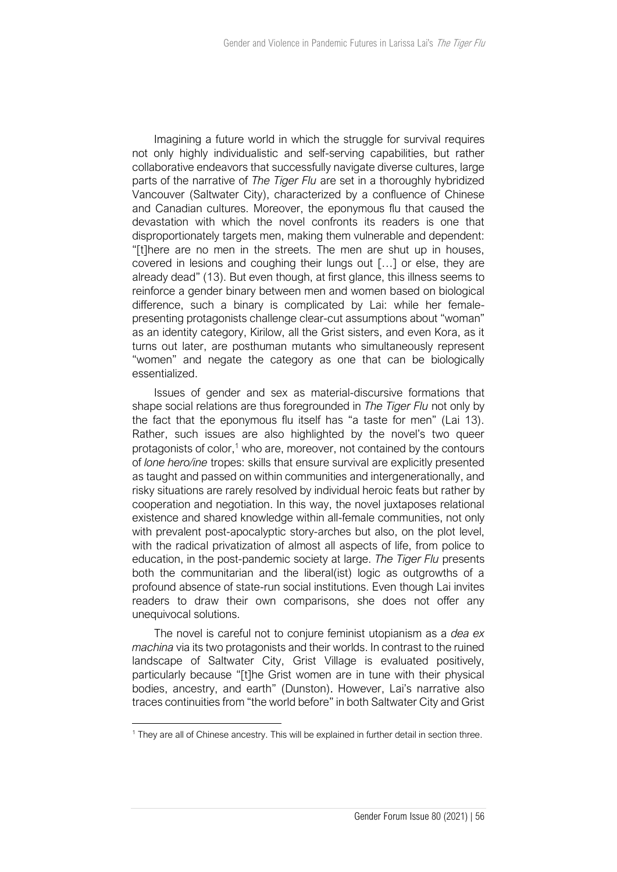Imagining a future world in which the struggle for survival requires not only highly individualistic and self-serving capabilities, but rather collaborative endeavors that successfully navigate diverse cultures, large parts of the narrative of *The Tiger Flu* are set in a thoroughly hybridized Vancouver (Saltwater City), characterized by a confluence of Chinese and Canadian cultures. Moreover, the eponymous flu that caused the devastation with which the novel confronts its readers is one that disproportionately targets men, making them vulnerable and dependent: "[t]here are no men in the streets. The men are shut up in houses, covered in lesions and coughing their lungs out […] or else, they are already dead" (13). But even though, at first glance, this illness seems to reinforce a gender binary between men and women based on biological difference, such a binary is complicated by Lai: while her femalepresenting protagonists challenge clear-cut assumptions about "woman" as an identity category, Kirilow, all the Grist sisters, and even Kora, as it turns out later, are posthuman mutants who simultaneously represent "women" and negate the category as one that can be biologically essentialized.

Issues of gender and sex as material-discursive formations that shape social relations are thus foregrounded in *The Tiger Flu* not only by the fact that the eponymous flu itself has "a taste for men" (Lai 13). Rather, such issues are also highlighted by the novel's two queer protagonists of color, $1$  who are, moreover, not contained by the contours of *lone hero/ine* tropes: skills that ensure survival are explicitly presented as taught and passed on within communities and intergenerationally, and risky situations are rarely resolved by individual heroic feats but rather by cooperation and negotiation. In this way, the novel juxtaposes relational existence and shared knowledge within all-female communities, not only with prevalent post-apocalyptic story-arches but also, on the plot level, with the radical privatization of almost all aspects of life, from police to education, in the post-pandemic society at large. *The Tiger Flu* presents both the communitarian and the liberal(ist) logic as outgrowths of a profound absence of state-run social institutions. Even though Lai invites readers to draw their own comparisons, she does not offer any unequivocal solutions.

The novel is careful not to conjure feminist utopianism as a *dea ex machina* via its two protagonists and their worlds. In contrast to the ruined landscape of Saltwater City, Grist Village is evaluated positively, particularly because "[t]he Grist women are in tune with their physical bodies, ancestry, and earth" (Dunston). However, Lai's narrative also traces continuities from "the world before" in both Saltwater City and Grist

<sup>&</sup>lt;sup>1</sup> They are all of Chinese ancestry. This will be explained in further detail in section three.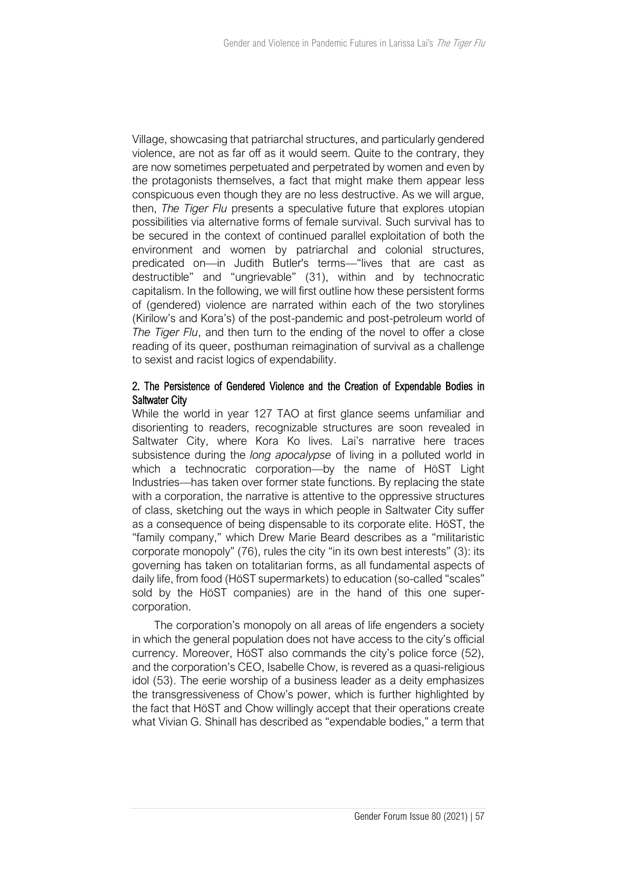Village, showcasing that patriarchal structures, and particularly gendered violence, are not as far off as it would seem. Quite to the contrary, they are now sometimes perpetuated and perpetrated by women and even by the protagonists themselves, a fact that might make them appear less conspicuous even though they are no less destructive. As we will argue, then, *The Tiger Flu* presents a speculative future that explores utopian possibilities via alternative forms of female survival. Such survival has to be secured in the context of continued parallel exploitation of both the environment and women by patriarchal and colonial structures, predicated on—in Judith Butler's terms—"lives that are cast as destructible" and "ungrievable" (31), within and by technocratic capitalism. In the following, we will first outline how these persistent forms of (gendered) violence are narrated within each of the two storylines (Kirilow's and Kora's) of the post-pandemic and post-petroleum world of *The Tiger Flu*, and then turn to the ending of the novel to offer a close reading of its queer, posthuman reimagination of survival as a challenge to sexist and racist logics of expendability.

## 2. The Persistence of Gendered Violence and the Creation of Expendable Bodies in Saltwater City

While the world in year 127 TAO at first glance seems unfamiliar and disorienting to readers, recognizable structures are soon revealed in Saltwater City, where Kora Ko lives. Lai's narrative here traces subsistence during the *long apocalypse* of living in a polluted world in which a technocratic corporation—by the name of HöST Light Industries—has taken over former state functions. By replacing the state with a corporation, the narrative is attentive to the oppressive structures of class, sketching out the ways in which people in Saltwater City suffer as a consequence of being dispensable to its corporate elite. HöST, the "family company," which Drew Marie Beard describes as a "militaristic corporate monopoly" (76), rules the city "in its own best interests" (3): its governing has taken on totalitarian forms, as all fundamental aspects of daily life, from food (HöST supermarkets) to education (so-called "scales" sold by the HöST companies) are in the hand of this one supercorporation.

The corporation's monopoly on all areas of life engenders a society in which the general population does not have access to the city's official currency. Moreover, HöST also commands the city's police force (52), and the corporation's CEO, Isabelle Chow, is revered as a quasi-religious idol (53). The eerie worship of a business leader as a deity emphasizes the transgressiveness of Chow's power, which is further highlighted by the fact that HöST and Chow willingly accept that their operations create what Vivian G. Shinall has described as "expendable bodies," a term that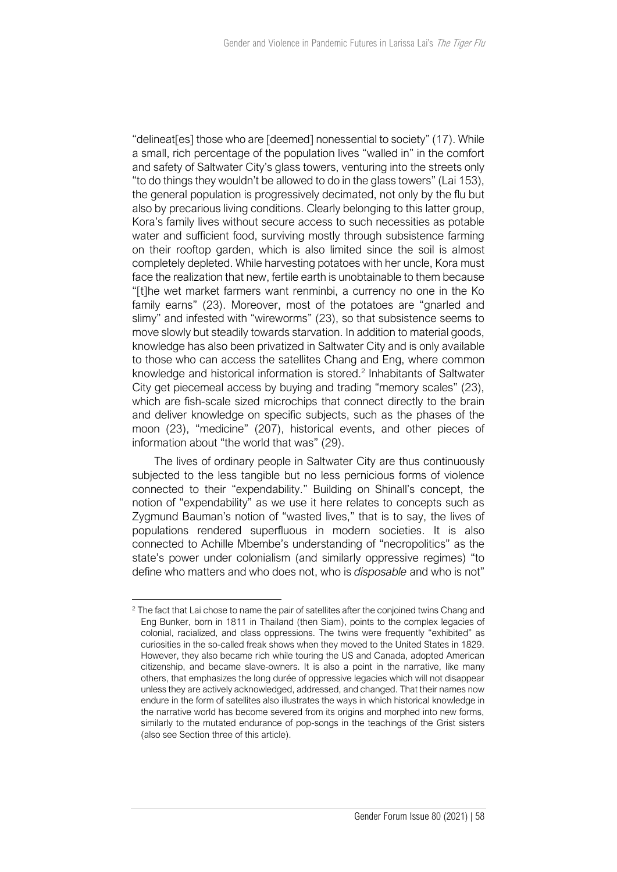"delineat[es] those who are [deemed] nonessential to society" (17). While a small, rich percentage of the population lives "walled in" in the comfort and safety of Saltwater City's glass towers, venturing into the streets only "to do things they wouldn't be allowed to do in the glass towers" (Lai 153), the general population is progressively decimated, not only by the flu but also by precarious living conditions. Clearly belonging to this latter group, Kora's family lives without secure access to such necessities as potable water and sufficient food, surviving mostly through subsistence farming on their rooftop garden, which is also limited since the soil is almost completely depleted. While harvesting potatoes with her uncle, Kora must face the realization that new, fertile earth is unobtainable to them because "[t]he wet market farmers want renminbi, a currency no one in the Ko family earns" (23). Moreover, most of the potatoes are "gnarled and slimy" and infested with "wireworms" (23), so that subsistence seems to move slowly but steadily towards starvation. In addition to material goods, knowledge has also been privatized in Saltwater City and is only available to those who can access the satellites Chang and Eng, where common knowledge and historical information is stored.<sup>2</sup> Inhabitants of Saltwater City get piecemeal access by buying and trading "memory scales" (23), which are fish-scale sized microchips that connect directly to the brain and deliver knowledge on specific subjects, such as the phases of the moon (23), "medicine" (207), historical events, and other pieces of information about "the world that was" (29).

The lives of ordinary people in Saltwater City are thus continuously subjected to the less tangible but no less pernicious forms of violence connected to their "expendability." Building on Shinall's concept, the notion of "expendability" as we use it here relates to concepts such as Zygmund Bauman's notion of "wasted lives," that is to say, the lives of populations rendered superfluous in modern societies. It is also connected to Achille Mbembe's understanding of "necropolitics" as the state's power under colonialism (and similarly oppressive regimes) "to define who matters and who does not, who is *disposable* and who is not"

<sup>&</sup>lt;sup>2</sup> The fact that Lai chose to name the pair of satellites after the conjoined twins Chang and Eng Bunker, born in 1811 in Thailand (then Siam), points to the complex legacies of colonial, racialized, and class oppressions. The twins were frequently "exhibited" as curiosities in the so-called freak shows when they moved to the United States in 1829. However, they also became rich while touring the US and Canada, adopted American citizenship, and became slave-owners. It is also a point in the narrative, like many others, that emphasizes the long durée of oppressive legacies which will not disappear unless they are actively acknowledged, addressed, and changed. That their names now endure in the form of satellites also illustrates the ways in which historical knowledge in the narrative world has become severed from its origins and morphed into new forms, similarly to the mutated endurance of pop-songs in the teachings of the Grist sisters (also see Section three of this article).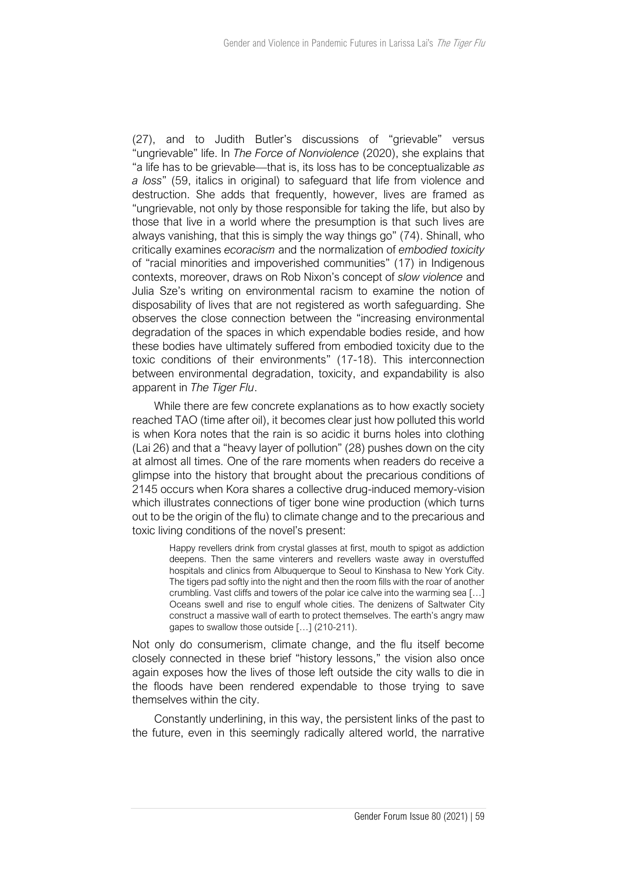(27), and to Judith Butler's discussions of "grievable" versus "ungrievable" life. In *The Force of Nonviolence* (2020), she explains that "a life has to be grievable—that is, its loss has to be conceptualizable *as a loss*" (59, italics in original) to safeguard that life from violence and destruction. She adds that frequently, however, lives are framed as "ungrievable, not only by those responsible for taking the life, but also by those that live in a world where the presumption is that such lives are always vanishing, that this is simply the way things go" (74). Shinall, who critically examines *ecoracism* and the normalization of *embodied toxicity*  of "racial minorities and impoverished communities" (17) in Indigenous contexts, moreover, draws on Rob Nixon's concept of *slow violence* and Julia Sze's writing on environmental racism to examine the notion of disposability of lives that are not registered as worth safeguarding. She observes the close connection between the "increasing environmental degradation of the spaces in which expendable bodies reside, and how these bodies have ultimately suffered from embodied toxicity due to the toxic conditions of their environments" (17-18). This interconnection between environmental degradation, toxicity, and expandability is also apparent in *The Tiger Flu*.

While there are few concrete explanations as to how exactly society reached TAO (time after oil), it becomes clear just how polluted this world is when Kora notes that the rain is so acidic it burns holes into clothing (Lai 26) and that a "heavy layer of pollution" (28) pushes down on the city at almost all times. One of the rare moments when readers do receive a glimpse into the history that brought about the precarious conditions of 2145 occurs when Kora shares a collective drug-induced memory-vision which illustrates connections of tiger bone wine production (which turns out to be the origin of the flu) to climate change and to the precarious and toxic living conditions of the novel's present:

> Happy revellers drink from crystal glasses at first, mouth to spigot as addiction deepens. Then the same vinterers and revellers waste away in overstuffed hospitals and clinics from Albuquerque to Seoul to Kinshasa to New York City. The tigers pad softly into the night and then the room fills with the roar of another crumbling. Vast cliffs and towers of the polar ice calve into the warming sea […] Oceans swell and rise to engulf whole cities. The denizens of Saltwater City construct a massive wall of earth to protect themselves. The earth's angry maw gapes to swallow those outside […] (210-211).

Not only do consumerism, climate change, and the flu itself become closely connected in these brief "history lessons," the vision also once again exposes how the lives of those left outside the city walls to die in the floods have been rendered expendable to those trying to save themselves within the city.

Constantly underlining, in this way, the persistent links of the past to the future, even in this seemingly radically altered world, the narrative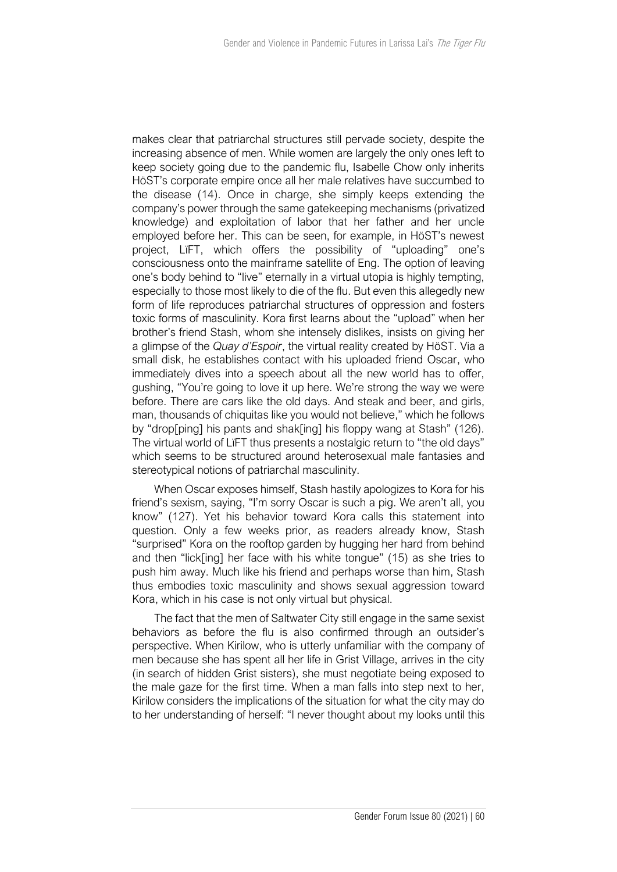makes clear that patriarchal structures still pervade society, despite the increasing absence of men. While women are largely the only ones left to keep society going due to the pandemic flu, Isabelle Chow only inherits HöST's corporate empire once all her male relatives have succumbed to the disease (14). Once in charge, she simply keeps extending the company's power through the same gatekeeping mechanisms (privatized knowledge) and exploitation of labor that her father and her uncle employed before her. This can be seen, for example, in HöST's newest project, LïFT, which offers the possibility of "uploading" one's consciousness onto the mainframe satellite of Eng. The option of leaving one's body behind to "live" eternally in a virtual utopia is highly tempting, especially to those most likely to die of the flu. But even this allegedly new form of life reproduces patriarchal structures of oppression and fosters toxic forms of masculinity. Kora first learns about the "upload" when her brother's friend Stash, whom she intensely dislikes, insists on giving her a glimpse of the *Quay d'Espoir*, the virtual reality created by HöST. Via a small disk, he establishes contact with his uploaded friend Oscar, who immediately dives into a speech about all the new world has to offer, gushing, "You're going to love it up here. We're strong the way we were before. There are cars like the old days. And steak and beer, and girls, man, thousands of chiquitas like you would not believe," which he follows by "drop[ping] his pants and shak[ing] his floppy wang at Stash" (126). The virtual world of LïFT thus presents a nostalgic return to "the old days" which seems to be structured around heterosexual male fantasies and stereotypical notions of patriarchal masculinity.

When Oscar exposes himself, Stash hastily apologizes to Kora for his friend's sexism, saying, "I'm sorry Oscar is such a pig. We aren't all, you know" (127). Yet his behavior toward Kora calls this statement into question. Only a few weeks prior, as readers already know, Stash "surprised" Kora on the rooftop garden by hugging her hard from behind and then "lick[ing] her face with his white tongue" (15) as she tries to push him away. Much like his friend and perhaps worse than him, Stash thus embodies toxic masculinity and shows sexual aggression toward Kora, which in his case is not only virtual but physical.

The fact that the men of Saltwater City still engage in the same sexist behaviors as before the flu is also confirmed through an outsider's perspective. When Kirilow, who is utterly unfamiliar with the company of men because she has spent all her life in Grist Village, arrives in the city (in search of hidden Grist sisters), she must negotiate being exposed to the male gaze for the first time. When a man falls into step next to her, Kirilow considers the implications of the situation for what the city may do to her understanding of herself: "I never thought about my looks until this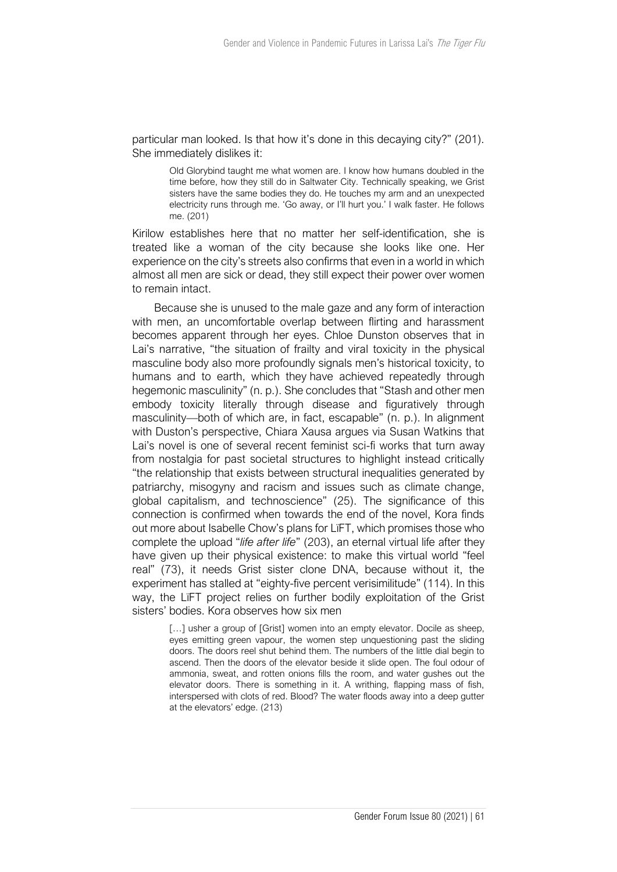particular man looked. Is that how it's done in this decaying city?" (201). She immediately dislikes it:

> Old Glorybind taught me what women are. I know how humans doubled in the time before, how they still do in Saltwater City. Technically speaking, we Grist sisters have the same bodies they do. He touches my arm and an unexpected electricity runs through me. 'Go away, or I'll hurt you.' I walk faster. He follows me. (201)

Kirilow establishes here that no matter her self-identification, she is treated like a woman of the city because she looks like one. Her experience on the city's streets also confirms that even in a world in which almost all men are sick or dead, they still expect their power over women to remain intact.

Because she is unused to the male gaze and any form of interaction with men, an uncomfortable overlap between flirting and harassment becomes apparent through her eyes. Chloe Dunston observes that in Lai's narrative, "the situation of frailty and viral toxicity in the physical masculine body also more profoundly signals men's historical toxicity, to humans and to earth, which they have achieved repeatedly through hegemonic masculinity" (n. p.). She concludes that "Stash and other men embody toxicity literally through disease and figuratively through masculinity—both of which are, in fact, escapable" (n. p.). In alignment with Duston's perspective, Chiara Xausa argues via Susan Watkins that Lai's novel is one of several recent feminist sci-fi works that turn away from nostalgia for past societal structures to highlight instead critically "the relationship that exists between structural inequalities generated by patriarchy, misogyny and racism and issues such as climate change, global capitalism, and technoscience" (25). The significance of this connection is confirmed when towards the end of the novel, Kora finds out more about Isabelle Chow's plans for LïFT, which promises those who complete the upload "*life after life*" (203), an eternal virtual life after they have given up their physical existence: to make this virtual world "feel real" (73), it needs Grist sister clone DNA, because without it, the experiment has stalled at "eighty-five percent verisimilitude" (114). In this way, the LïFT project relies on further bodily exploitation of the Grist sisters' bodies. Kora observes how six men

> [...] usher a group of [Grist] women into an empty elevator. Docile as sheep, eyes emitting green vapour, the women step unquestioning past the sliding doors. The doors reel shut behind them. The numbers of the little dial begin to ascend. Then the doors of the elevator beside it slide open. The foul odour of ammonia, sweat, and rotten onions fills the room, and water gushes out the elevator doors. There is something in it. A writhing, flapping mass of fish, interspersed with clots of red. Blood? The water floods away into a deep gutter at the elevators' edge. (213)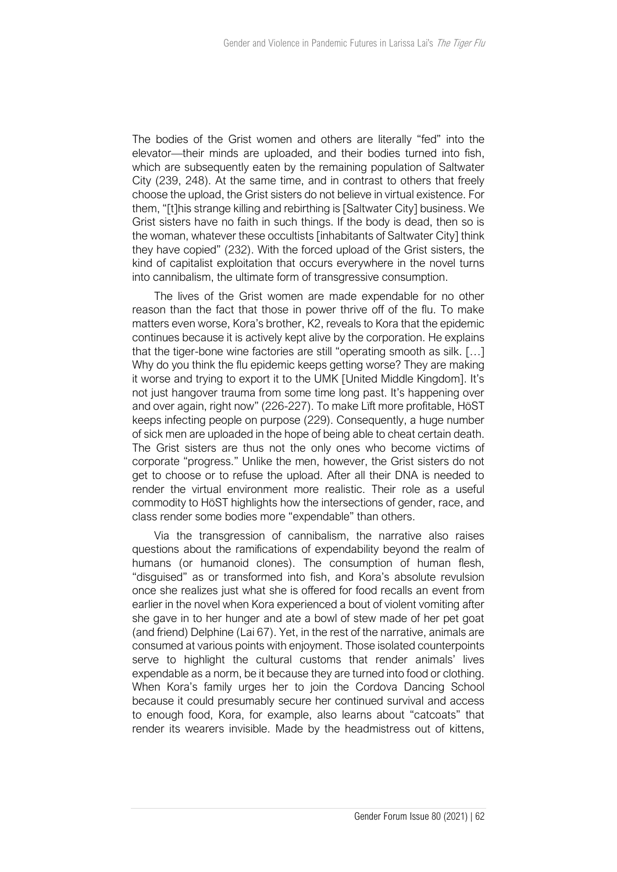The bodies of the Grist women and others are literally "fed" into the elevator—their minds are uploaded, and their bodies turned into fish, which are subsequently eaten by the remaining population of Saltwater City (239, 248). At the same time, and in contrast to others that freely choose the upload, the Grist sisters do not believe in virtual existence. For them, "[t]his strange killing and rebirthing is [Saltwater City] business. We Grist sisters have no faith in such things. If the body is dead, then so is the woman, whatever these occultists [inhabitants of Saltwater City] think they have copied" (232). With the forced upload of the Grist sisters, the kind of capitalist exploitation that occurs everywhere in the novel turns into cannibalism, the ultimate form of transgressive consumption.

The lives of the Grist women are made expendable for no other reason than the fact that those in power thrive off of the flu. To make matters even worse, Kora's brother, K2, reveals to Kora that the epidemic continues because it is actively kept alive by the corporation. He explains that the tiger-bone wine factories are still "operating smooth as silk. […] Why do you think the flu epidemic keeps getting worse? They are making it worse and trying to export it to the UMK [United Middle Kingdom]. It's not just hangover trauma from some time long past. It's happening over and over again, right now" (226-227). To make Lïft more profitable, HöST keeps infecting people on purpose (229). Consequently, a huge number of sick men are uploaded in the hope of being able to cheat certain death. The Grist sisters are thus not the only ones who become victims of corporate "progress." Unlike the men, however, the Grist sisters do not get to choose or to refuse the upload. After all their DNA is needed to render the virtual environment more realistic. Their role as a useful commodity to HöST highlights how the intersections of gender, race, and class render some bodies more "expendable" than others.

Via the transgression of cannibalism, the narrative also raises questions about the ramifications of expendability beyond the realm of humans (or humanoid clones). The consumption of human flesh, "disguised" as or transformed into fish, and Kora's absolute revulsion once she realizes just what she is offered for food recalls an event from earlier in the novel when Kora experienced a bout of violent vomiting after she gave in to her hunger and ate a bowl of stew made of her pet goat (and friend) Delphine (Lai 67). Yet, in the rest of the narrative, animals are consumed at various points with enjoyment. Those isolated counterpoints serve to highlight the cultural customs that render animals' lives expendable as a norm, be it because they are turned into food or clothing. When Kora's family urges her to join the Cordova Dancing School because it could presumably secure her continued survival and access to enough food, Kora, for example, also learns about "catcoats" that render its wearers invisible. Made by the headmistress out of kittens,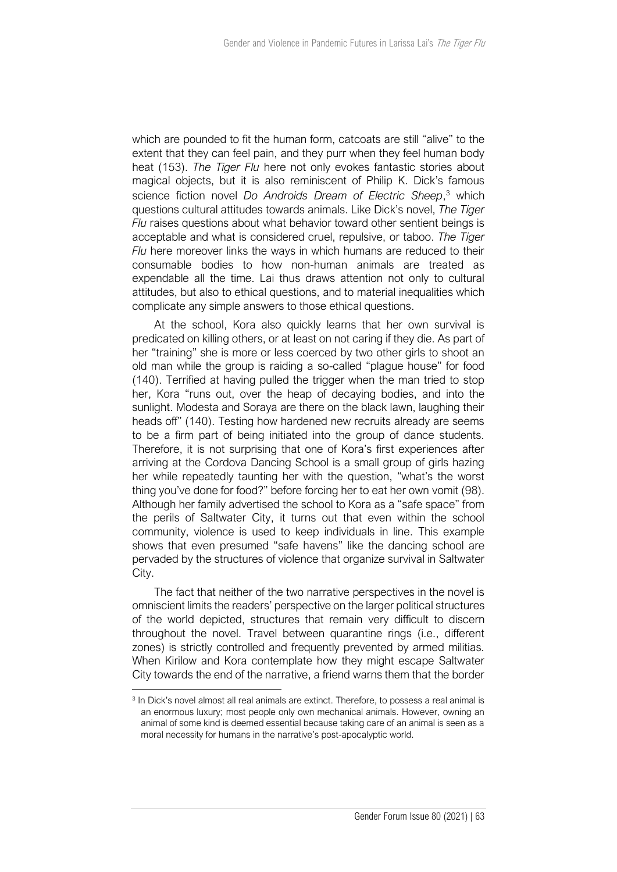which are pounded to fit the human form, catcoats are still "alive" to the extent that they can feel pain, and they purr when they feel human body heat (153). *The Tiger Flu* here not only evokes fantastic stories about magical objects, but it is also reminiscent of Philip K. Dick's famous science fiction novel *Do Androids Dream of Electric Sheep*, <sup>3</sup> which questions cultural attitudes towards animals. Like Dick's novel, *The Tiger Flu* raises questions about what behavior toward other sentient beings is acceptable and what is considered cruel, repulsive, or taboo. *The Tiger Flu* here moreover links the ways in which humans are reduced to their consumable bodies to how non-human animals are treated as expendable all the time. Lai thus draws attention not only to cultural attitudes, but also to ethical questions, and to material inequalities which complicate any simple answers to those ethical questions.

At the school, Kora also quickly learns that her own survival is predicated on killing others, or at least on not caring if they die. As part of her "training" she is more or less coerced by two other girls to shoot an old man while the group is raiding a so-called "plague house" for food (140). Terrified at having pulled the trigger when the man tried to stop her, Kora "runs out, over the heap of decaying bodies, and into the sunlight. Modesta and Soraya are there on the black lawn, laughing their heads off" (140). Testing how hardened new recruits already are seems to be a firm part of being initiated into the group of dance students. Therefore, it is not surprising that one of Kora's first experiences after arriving at the Cordova Dancing School is a small group of girls hazing her while repeatedly taunting her with the question, "what's the worst thing you've done for food?" before forcing her to eat her own vomit (98). Although her family advertised the school to Kora as a "safe space" from the perils of Saltwater City, it turns out that even within the school community, violence is used to keep individuals in line. This example shows that even presumed "safe havens" like the dancing school are pervaded by the structures of violence that organize survival in Saltwater City.

The fact that neither of the two narrative perspectives in the novel is omniscient limits the readers' perspective on the larger political structures of the world depicted, structures that remain very difficult to discern throughout the novel. Travel between quarantine rings (i.e., different zones) is strictly controlled and frequently prevented by armed militias. When Kirilow and Kora contemplate how they might escape Saltwater City towards the end of the narrative, a friend warns them that the border

<sup>&</sup>lt;sup>3</sup> In Dick's novel almost all real animals are extinct. Therefore, to possess a real animal is an enormous luxury; most people only own mechanical animals. However, owning an animal of some kind is deemed essential because taking care of an animal is seen as a moral necessity for humans in the narrative's post-apocalyptic world.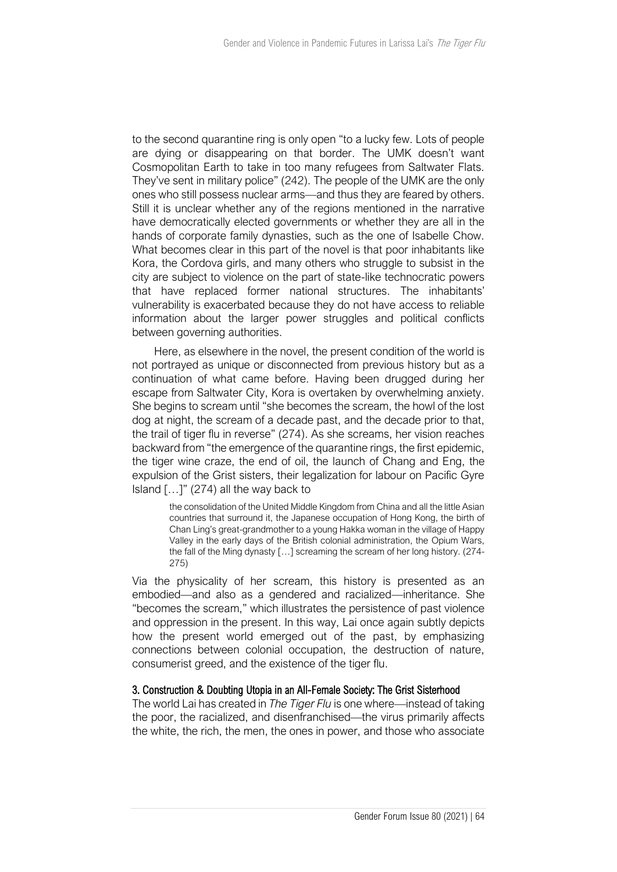to the second quarantine ring is only open "to a lucky few. Lots of people are dying or disappearing on that border. The UMK doesn't want Cosmopolitan Earth to take in too many refugees from Saltwater Flats. They've sent in military police" (242). The people of the UMK are the only ones who still possess nuclear arms—and thus they are feared by others. Still it is unclear whether any of the regions mentioned in the narrative have democratically elected governments or whether they are all in the hands of corporate family dynasties, such as the one of Isabelle Chow. What becomes clear in this part of the novel is that poor inhabitants like Kora, the Cordova girls, and many others who struggle to subsist in the city are subject to violence on the part of state-like technocratic powers that have replaced former national structures. The inhabitants' vulnerability is exacerbated because they do not have access to reliable information about the larger power struggles and political conflicts between governing authorities.

Here, as elsewhere in the novel, the present condition of the world is not portrayed as unique or disconnected from previous history but as a continuation of what came before. Having been drugged during her escape from Saltwater City, Kora is overtaken by overwhelming anxiety. She begins to scream until "she becomes the scream, the howl of the lost dog at night, the scream of a decade past, and the decade prior to that, the trail of tiger flu in reverse" (274). As she screams, her vision reaches backward from "the emergence of the quarantine rings, the first epidemic, the tiger wine craze, the end of oil, the launch of Chang and Eng, the expulsion of the Grist sisters, their legalization for labour on Pacific Gyre Island  $\left[ \ldots \right]$ " (274) all the way back to

> the consolidation of the United Middle Kingdom from China and all the little Asian countries that surround it, the Japanese occupation of Hong Kong, the birth of Chan Ling's great-grandmother to a young Hakka woman in the village of Happy Valley in the early days of the British colonial administration, the Opium Wars, the fall of the Ming dynasty […] screaming the scream of her long history. (274- 275)

Via the physicality of her scream, this history is presented as an embodied—and also as a gendered and racialized—inheritance. She "becomes the scream," which illustrates the persistence of past violence and oppression in the present. In this way, Lai once again subtly depicts how the present world emerged out of the past, by emphasizing connections between colonial occupation, the destruction of nature, consumerist greed, and the existence of the tiger flu.

#### 3. Construction & Doubting Utopia in an All-Female Society: The Grist Sisterhood

The world Lai has created in *The Tiger Flu* is one where—instead of taking the poor, the racialized, and disenfranchised—the virus primarily affects the white, the rich, the men, the ones in power, and those who associate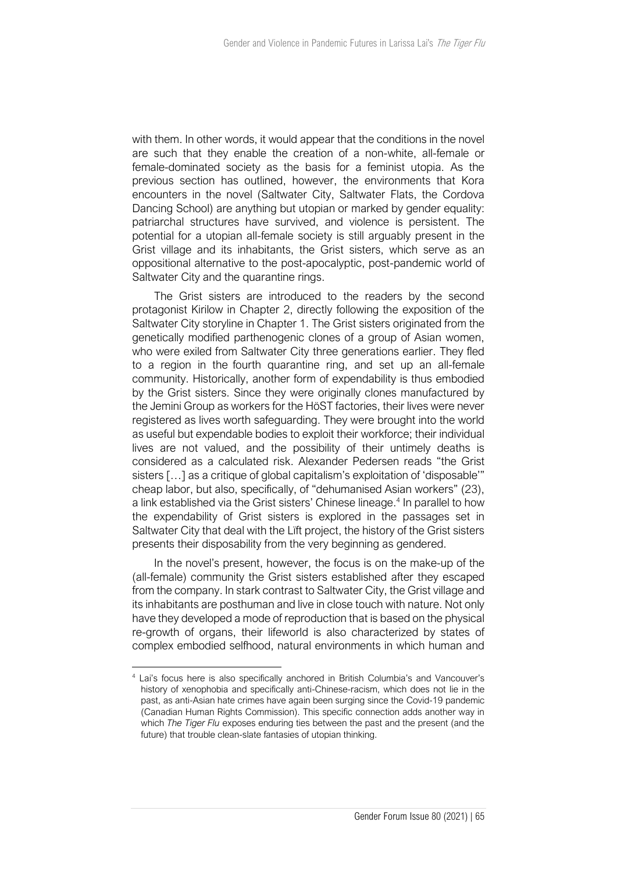with them. In other words, it would appear that the conditions in the novel are such that they enable the creation of a non-white, all-female or female-dominated society as the basis for a feminist utopia. As the previous section has outlined, however, the environments that Kora encounters in the novel (Saltwater City, Saltwater Flats, the Cordova Dancing School) are anything but utopian or marked by gender equality: patriarchal structures have survived, and violence is persistent. The potential for a utopian all-female society is still arguably present in the Grist village and its inhabitants, the Grist sisters, which serve as an oppositional alternative to the post-apocalyptic, post-pandemic world of Saltwater City and the quarantine rings.

The Grist sisters are introduced to the readers by the second protagonist Kirilow in Chapter 2, directly following the exposition of the Saltwater City storyline in Chapter 1. The Grist sisters originated from the genetically modified parthenogenic clones of a group of Asian women, who were exiled from Saltwater City three generations earlier. They fled to a region in the fourth quarantine ring, and set up an all-female community. Historically, another form of expendability is thus embodied by the Grist sisters. Since they were originally clones manufactured by the Jemini Group as workers for the HöST factories, their lives were never registered as lives worth safeguarding. They were brought into the world as useful but expendable bodies to exploit their workforce; their individual lives are not valued, and the possibility of their untimely deaths is considered as a calculated risk. Alexander Pedersen reads "the Grist sisters […] as a critique of global capitalism's exploitation of 'disposable'" cheap labor, but also, specifically, of "dehumanised Asian workers" (23), a link established via the Grist sisters' Chinese lineage.<sup>4</sup> In parallel to how the expendability of Grist sisters is explored in the passages set in Saltwater City that deal with the Lïft project, the history of the Grist sisters presents their disposability from the very beginning as gendered.

In the novel's present, however, the focus is on the make-up of the (all-female) community the Grist sisters established after they escaped from the company. In stark contrast to Saltwater City, the Grist village and its inhabitants are posthuman and live in close touch with nature. Not only have they developed a mode of reproduction that is based on the physical re-growth of organs, their lifeworld is also characterized by states of complex embodied selfhood, natural environments in which human and

<sup>4</sup> Lai's focus here is also specifically anchored in British Columbia's and Vancouver's history of xenophobia and specifically anti-Chinese-racism, which does not lie in the past, as anti-Asian hate crimes have again been surging since the Covid-19 pandemic (Canadian Human Rights Commission). This specific connection adds another way in which *The Tiger Flu* exposes enduring ties between the past and the present (and the future) that trouble clean-slate fantasies of utopian thinking.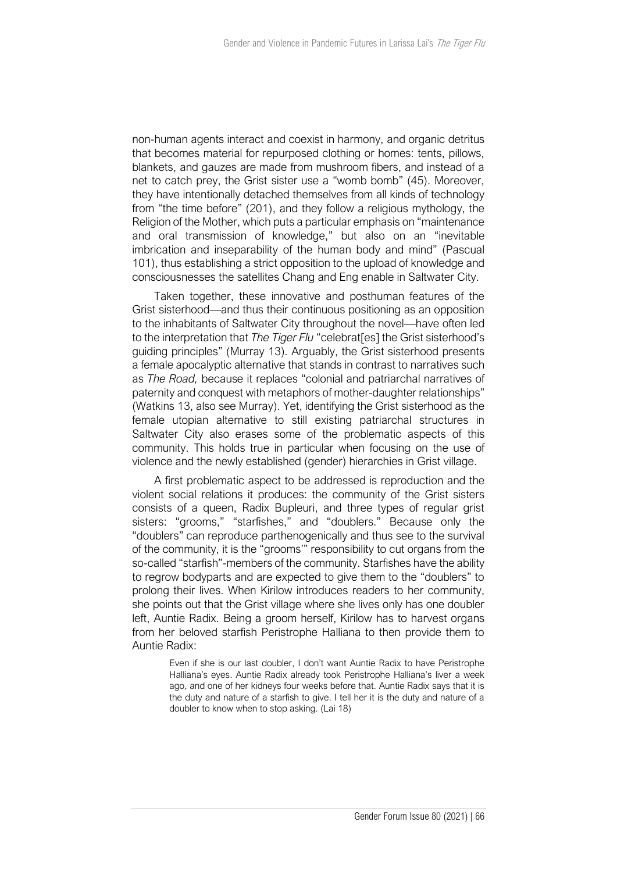non-human agents interact and coexist in harmony, and organic detritus that becomes material for repurposed clothing or homes: tents, pillows, blankets, and gauzes are made from mushroom fibers, and instead of a net to catch prey, the Grist sister use a "womb bomb" (45). Moreover, they have intentionally detached themselves from all kinds of technology from "the time before" (201), and they follow a religious mythology, the Religion of the Mother, which puts a particular emphasis on "maintenance and oral transmission of knowledge," but also on an "inevitable imbrication and inseparability of the human body and mind" (Pascual 101), thus establishing a strict opposition to the upload of knowledge and consciousnesses the satellites Chang and Eng enable in Saltwater City.

Taken together, these innovative and posthuman features of the Grist sisterhood—and thus their continuous positioning as an opposition to the inhabitants of Saltwater City throughout the novel—have often led to the interpretation that *The Tiger Flu* "celebrat[es] the Grist sisterhood's guiding principles" (Murray 13). Arguably, the Grist sisterhood presents a female apocalyptic alternative that stands in contrast to narratives such as *The Road,* because it replaces "colonial and patriarchal narratives of paternity and conquest with metaphors of mother-daughter relationships" (Watkins 13, also see Murray). Yet, identifying the Grist sisterhood as the female utopian alternative to still existing patriarchal structures in Saltwater City also erases some of the problematic aspects of this community. This holds true in particular when focusing on the use of violence and the newly established (gender) hierarchies in Grist village.

A first problematic aspect to be addressed is reproduction and the violent social relations it produces: the community of the Grist sisters consists of a queen, Radix Bupleuri, and three types of regular grist sisters: "grooms," "starfishes," and "doublers." Because only the "doublers" can reproduce parthenogenically and thus see to the survival of the community, it is the "grooms'" responsibility to cut organs from the so-called "starfish"-members of the community. Starfishes have the ability to regrow bodyparts and are expected to give them to the "doublers" to prolong their lives. When Kirilow introduces readers to her community, she points out that the Grist village where she lives only has one doubler left, Auntie Radix. Being a groom herself, Kirilow has to harvest organs from her beloved starfish Peristrophe Halliana to then provide them to Auntie Radix:

> Even if she is our last doubler, I don't want Auntie Radix to have Peristrophe Halliana's eyes. Auntie Radix already took Peristrophe Halliana's liver a week ago, and one of her kidneys four weeks before that. Auntie Radix says that it is the duty and nature of a starfish to give. I tell her it is the duty and nature of a doubler to know when to stop asking. (Lai 18)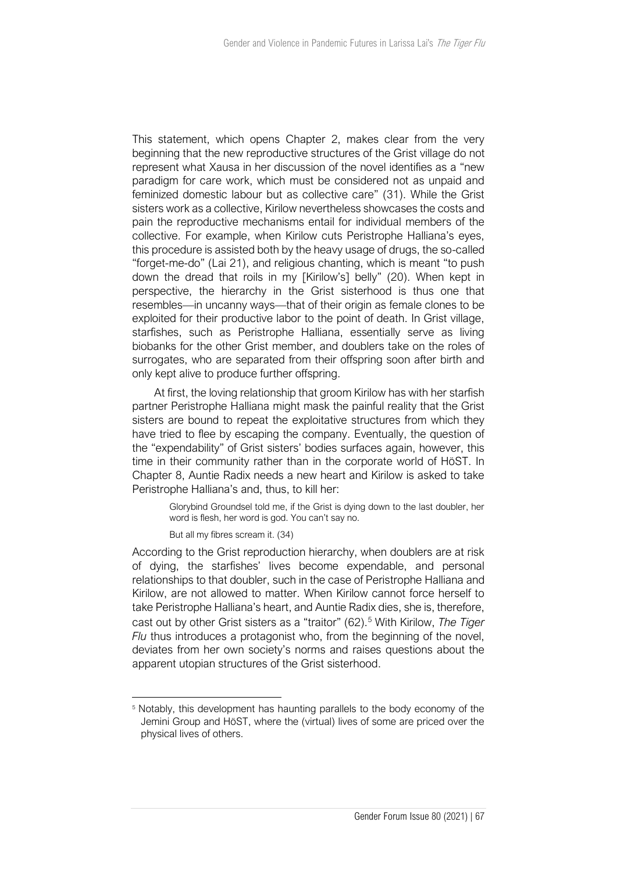This statement, which opens Chapter 2, makes clear from the very beginning that the new reproductive structures of the Grist village do not represent what Xausa in her discussion of the novel identifies as a "new paradigm for care work, which must be considered not as unpaid and feminized domestic labour but as collective care" (31). While the Grist sisters work as a collective, Kirilow nevertheless showcases the costs and pain the reproductive mechanisms entail for individual members of the collective. For example, when Kirilow cuts Peristrophe Halliana's eyes, this procedure is assisted both by the heavy usage of drugs, the so-called "forget-me-do" (Lai 21), and religious chanting, which is meant "to push down the dread that roils in my [Kirilow's] belly" (20). When kept in perspective, the hierarchy in the Grist sisterhood is thus one that resembles—in uncanny ways—that of their origin as female clones to be exploited for their productive labor to the point of death. In Grist village, starfishes, such as Peristrophe Halliana, essentially serve as living biobanks for the other Grist member, and doublers take on the roles of surrogates, who are separated from their offspring soon after birth and only kept alive to produce further offspring.

At first, the loving relationship that groom Kirilow has with her starfish partner Peristrophe Halliana might mask the painful reality that the Grist sisters are bound to repeat the exploitative structures from which they have tried to flee by escaping the company. Eventually, the question of the "expendability" of Grist sisters' bodies surfaces again, however, this time in their community rather than in the corporate world of HöST. In Chapter 8, Auntie Radix needs a new heart and Kirilow is asked to take Peristrophe Halliana's and, thus, to kill her:

> Glorybind Groundsel told me, if the Grist is dying down to the last doubler, her word is flesh, her word is god. You can't say no.

But all my fibres scream it. (34)

According to the Grist reproduction hierarchy, when doublers are at risk of dying, the starfishes' lives become expendable, and personal relationships to that doubler, such in the case of Peristrophe Halliana and Kirilow, are not allowed to matter. When Kirilow cannot force herself to take Peristrophe Halliana's heart, and Auntie Radix dies, she is, therefore, cast out by other Grist sisters as a "traitor" (62).<sup>5</sup> With Kirilow, The Tiger *Flu* thus introduces a protagonist who, from the beginning of the novel, deviates from her own society's norms and raises questions about the apparent utopian structures of the Grist sisterhood.

<sup>&</sup>lt;sup>5</sup> Notably, this development has haunting parallels to the body economy of the Jemini Group and HöST, where the (virtual) lives of some are priced over the physical lives of others.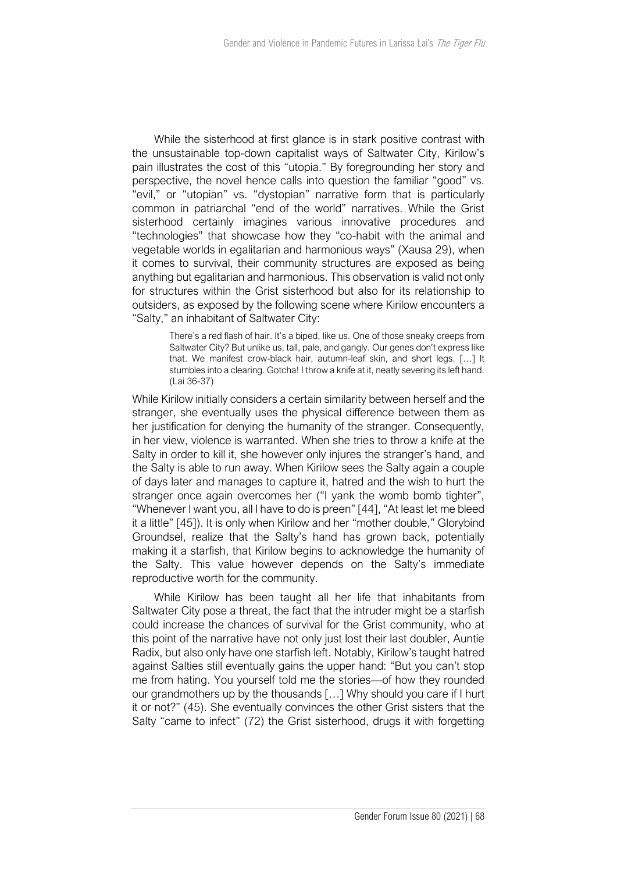While the sisterhood at first glance is in stark positive contrast with the unsustainable top-down capitalist ways of Saltwater City, Kirilow's pain illustrates the cost of this "utopia." By foregrounding her story and perspective, the novel hence calls into question the familiar "good" vs. "evil," or "utopian" vs. "dystopian" narrative form that is particularly common in patriarchal "end of the world" narratives. While the Grist sisterhood certainly imagines various innovative procedures and "technologies" that showcase how they "co-habit with the animal and vegetable worlds in egalitarian and harmonious ways" (Xausa 29), when it comes to survival, their community structures are exposed as being anything but egalitarian and harmonious. This observation is valid not only for structures within the Grist sisterhood but also for its relationship to outsiders, as exposed by the following scene where Kirilow encounters a "Salty," an inhabitant of Saltwater City:

> There's a red flash of hair. It's a biped, like us. One of those sneaky creeps from Saltwater City? But unlike us, tall, pale, and gangly. Our genes don't express like that. We manifest crow-black hair, autumn-leaf skin, and short legs. […] It stumbles into a clearing. Gotcha! I throw a knife at it, neatly severing its left hand. (Lai 36-37)

While Kirilow initially considers a certain similarity between herself and the stranger, she eventually uses the physical difference between them as her justification for denying the humanity of the stranger. Consequently, in her view, violence is warranted. When she tries to throw a knife at the Salty in order to kill it, she however only injures the stranger's hand, and the Salty is able to run away. When Kirilow sees the Salty again a couple of days later and manages to capture it, hatred and the wish to hurt the stranger once again overcomes her ("I yank the womb bomb tighter", "Whenever I want you, all I have to do is preen" [44], "At least let me bleed it a little" [45]). It is only when Kirilow and her "mother double," Glorybind Groundsel, realize that the Salty's hand has grown back, potentially making it a starfish, that Kirilow begins to acknowledge the humanity of the Salty. This value however depends on the Salty's immediate reproductive worth for the community.

While Kirilow has been taught all her life that inhabitants from Saltwater City pose a threat, the fact that the intruder might be a starfish could increase the chances of survival for the Grist community, who at this point of the narrative have not only just lost their last doubler, Auntie Radix, but also only have one starfish left. Notably, Kirilow's taught hatred against Salties still eventually gains the upper hand: "But you can't stop me from hating. You yourself told me the stories—of how they rounded our grandmothers up by the thousands […] Why should you care if I hurt it or not?" (45). She eventually convinces the other Grist sisters that the Salty "came to infect" (72) the Grist sisterhood, drugs it with forgetting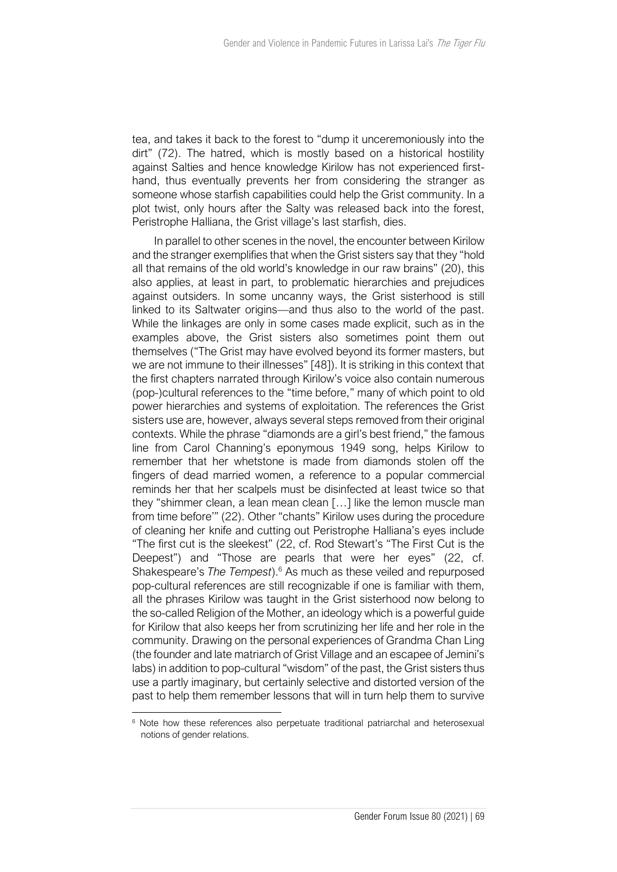tea, and takes it back to the forest to "dump it unceremoniously into the dirt" (72). The hatred, which is mostly based on a historical hostility against Salties and hence knowledge Kirilow has not experienced firsthand, thus eventually prevents her from considering the stranger as someone whose starfish capabilities could help the Grist community. In a plot twist, only hours after the Salty was released back into the forest, Peristrophe Halliana, the Grist village's last starfish, dies.

In parallel to other scenes in the novel, the encounter between Kirilow and the stranger exemplifies that when the Grist sisters say that they "hold all that remains of the old world's knowledge in our raw brains" (20), this also applies, at least in part, to problematic hierarchies and prejudices against outsiders. In some uncanny ways, the Grist sisterhood is still linked to its Saltwater origins—and thus also to the world of the past. While the linkages are only in some cases made explicit, such as in the examples above, the Grist sisters also sometimes point them out themselves ("The Grist may have evolved beyond its former masters, but we are not immune to their illnesses" [48]). It is striking in this context that the first chapters narrated through Kirilow's voice also contain numerous (pop-)cultural references to the "time before," many of which point to old power hierarchies and systems of exploitation. The references the Grist sisters use are, however, always several steps removed from their original contexts. While the phrase "diamonds are a girl's best friend," the famous line from Carol Channing's eponymous 1949 song, helps Kirilow to remember that her whetstone is made from diamonds stolen off the fingers of dead married women, a reference to a popular commercial reminds her that her scalpels must be disinfected at least twice so that they "shimmer clean, a lean mean clean […] like the lemon muscle man from time before'" (22). Other "chants" Kirilow uses during the procedure of cleaning her knife and cutting out Peristrophe Halliana's eyes include "The first cut is the sleekest" (22, cf. Rod Stewart's "The First Cut is the Deepest") and "Those are pearls that were her eyes" (22, cf. Shakespeare's *The Tempest*).<sup>6</sup> As much as these veiled and repurposed pop-cultural references are still recognizable if one is familiar with them, all the phrases Kirilow was taught in the Grist sisterhood now belong to the so-called Religion of the Mother, an ideology which is a powerful guide for Kirilow that also keeps her from scrutinizing her life and her role in the community. Drawing on the personal experiences of Grandma Chan Ling (the founder and late matriarch of Grist Village and an escapee of Jemini's labs) in addition to pop-cultural "wisdom" of the past, the Grist sisters thus use a partly imaginary, but certainly selective and distorted version of the past to help them remember lessons that will in turn help them to survive

<sup>&</sup>lt;sup>6</sup> Note how these references also perpetuate traditional patriarchal and heterosexual notions of gender relations.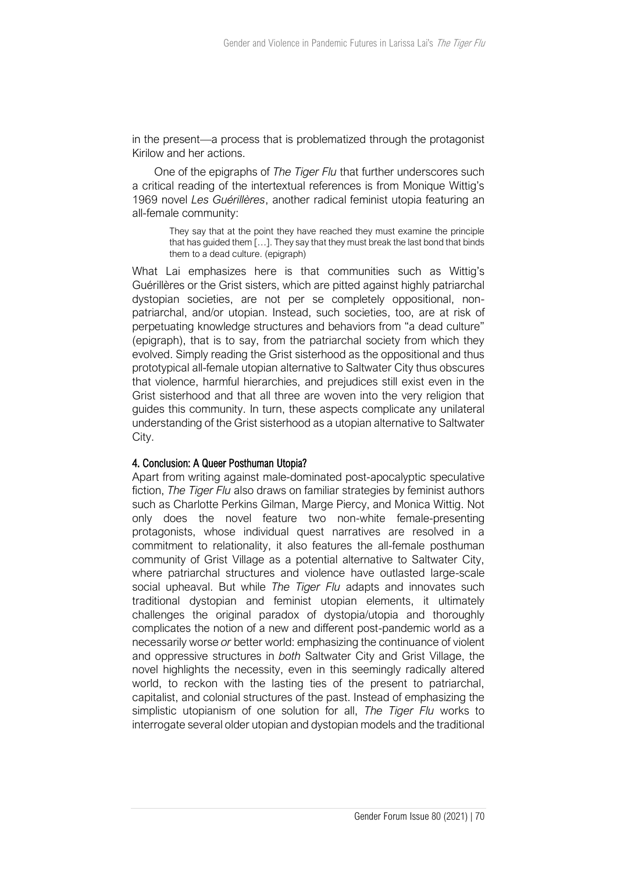in the present—a process that is problematized through the protagonist Kirilow and her actions.

One of the epigraphs of *The Tiger Flu* that further underscores such a critical reading of the intertextual references is from Monique Wittig's 1969 novel *Les Guérillères*, another radical feminist utopia featuring an all-female community:

> They say that at the point they have reached they must examine the principle that has guided them […]. They say that they must break the last bond that binds them to a dead culture. (epigraph)

What Lai emphasizes here is that communities such as Wittig's Guérillères or the Grist sisters, which are pitted against highly patriarchal dystopian societies, are not per se completely oppositional, nonpatriarchal, and/or utopian. Instead, such societies, too, are at risk of perpetuating knowledge structures and behaviors from "a dead culture" (epigraph), that is to say, from the patriarchal society from which they evolved. Simply reading the Grist sisterhood as the oppositional and thus prototypical all-female utopian alternative to Saltwater City thus obscures that violence, harmful hierarchies, and prejudices still exist even in the Grist sisterhood and that all three are woven into the very religion that guides this community. In turn, these aspects complicate any unilateral understanding of the Grist sisterhood as a utopian alternative to Saltwater City.

## 4. Conclusion: A Queer Posthuman Utopia?

Apart from writing against male-dominated post-apocalyptic speculative fiction, *The Tiger Flu* also draws on familiar strategies by feminist authors such as Charlotte Perkins Gilman, Marge Piercy, and Monica Wittig. Not only does the novel feature two non-white female-presenting protagonists, whose individual quest narratives are resolved in a commitment to relationality, it also features the all-female posthuman community of Grist Village as a potential alternative to Saltwater City, where patriarchal structures and violence have outlasted large-scale social upheaval. But while *The Tiger Flu* adapts and innovates such traditional dystopian and feminist utopian elements, it ultimately challenges the original paradox of dystopia/utopia and thoroughly complicates the notion of a new and different post-pandemic world as a necessarily worse *or* better world: emphasizing the continuance of violent and oppressive structures in *both* Saltwater City and Grist Village, the novel highlights the necessity, even in this seemingly radically altered world, to reckon with the lasting ties of the present to patriarchal, capitalist, and colonial structures of the past. Instead of emphasizing the simplistic utopianism of one solution for all, *The Tiger Flu* works to interrogate several older utopian and dystopian models and the traditional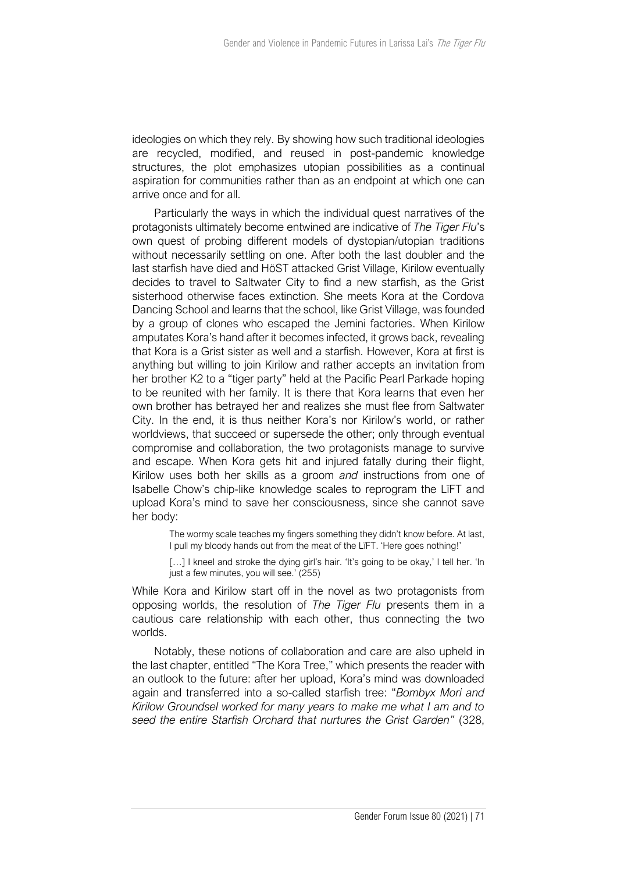ideologies on which they rely. By showing how such traditional ideologies are recycled, modified, and reused in post-pandemic knowledge structures, the plot emphasizes utopian possibilities as a continual aspiration for communities rather than as an endpoint at which one can arrive once and for all.

Particularly the ways in which the individual quest narratives of the protagonists ultimately become entwined are indicative of *The Tiger Flu*'s own quest of probing different models of dystopian/utopian traditions without necessarily settling on one. After both the last doubler and the last starfish have died and HöST attacked Grist Village, Kirilow eventually decides to travel to Saltwater City to find a new starfish, as the Grist sisterhood otherwise faces extinction. She meets Kora at the Cordova Dancing School and learns that the school, like Grist Village, was founded by a group of clones who escaped the Jemini factories. When Kirilow amputates Kora's hand after it becomes infected, it grows back, revealing that Kora is a Grist sister as well and a starfish. However, Kora at first is anything but willing to join Kirilow and rather accepts an invitation from her brother K2 to a "tiger party" held at the Pacific Pearl Parkade hoping to be reunited with her family. It is there that Kora learns that even her own brother has betrayed her and realizes she must flee from Saltwater City. In the end, it is thus neither Kora's nor Kirilow's world, or rather worldviews, that succeed or supersede the other; only through eventual compromise and collaboration, the two protagonists manage to survive and escape. When Kora gets hit and injured fatally during their flight, Kirilow uses both her skills as a groom *and* instructions from one of Isabelle Chow's chip-like knowledge scales to reprogram the LïFT and upload Kora's mind to save her consciousness, since she cannot save her body:

> The wormy scale teaches my fingers something they didn't know before. At last, I pull my bloody hands out from the meat of the LïFT. 'Here goes nothing!'

> [...] I kneel and stroke the dying girl's hair. 'It's going to be okay,' I tell her. 'In just a few minutes, you will see.' (255)

While Kora and Kirilow start off in the novel as two protagonists from opposing worlds, the resolution of *The Tiger Flu* presents them in a cautious care relationship with each other, thus connecting the two worlds.

Notably, these notions of collaboration and care are also upheld in the last chapter, entitled "The Kora Tree," which presents the reader with an outlook to the future: after her upload, Kora's mind was downloaded again and transferred into a so-called starfish tree: "*Bombyx Mori and Kirilow Groundsel worked for many years to make me what I am and to seed the entire Starfish Orchard that nurtures the Grist Garden"* (328,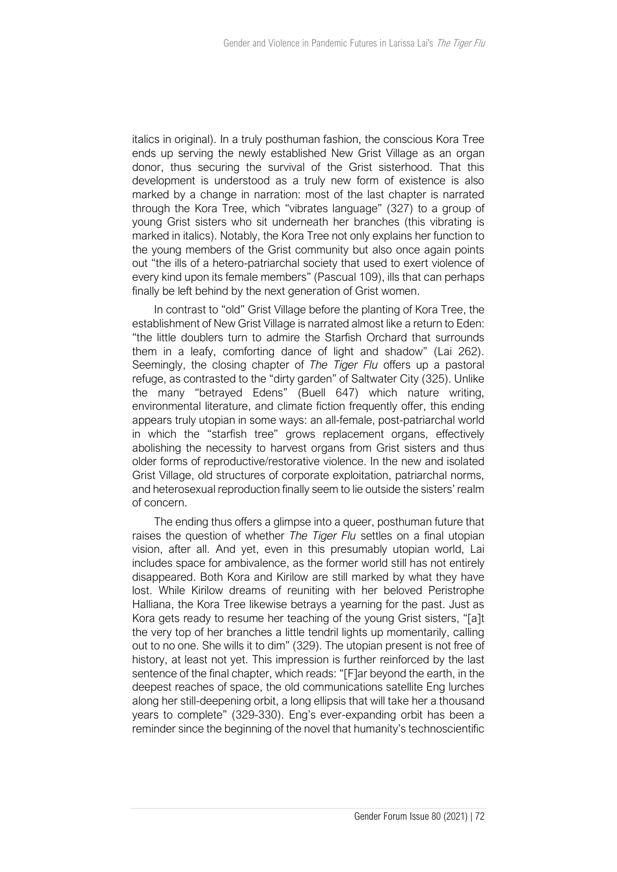italics in original). In a truly posthuman fashion, the conscious Kora Tree ends up serving the newly established New Grist Village as an organ donor, thus securing the survival of the Grist sisterhood. That this development is understood as a truly new form of existence is also marked by a change in narration: most of the last chapter is narrated through the Kora Tree, which "vibrates language" (327) to a group of young Grist sisters who sit underneath her branches (this vibrating is marked in italics). Notably, the Kora Tree not only explains her function to the young members of the Grist community but also once again points out "the ills of a hetero-patriarchal society that used to exert violence of every kind upon its female members" (Pascual 109), ills that can perhaps finally be left behind by the next generation of Grist women.

In contrast to "old" Grist Village before the planting of Kora Tree, the establishment of New Grist Village is narrated almost like a return to Eden: "the little doublers turn to admire the Starfish Orchard that surrounds them in a leafy, comforting dance of light and shadow" (Lai 262). Seemingly, the closing chapter of *The Tiger Flu* offers up a pastoral refuge, as contrasted to the "dirty garden" of Saltwater City (325). Unlike the many "betrayed Edens" (Buell 647) which nature writing, environmental literature, and climate fiction frequently offer, this ending appears truly utopian in some ways: an all-female, post-patriarchal world in which the "starfish tree" grows replacement organs, effectively abolishing the necessity to harvest organs from Grist sisters and thus older forms of reproductive/restorative violence. In the new and isolated Grist Village, old structures of corporate exploitation, patriarchal norms, and heterosexual reproduction finally seem to lie outside the sisters' realm of concern.

The ending thus offers a glimpse into a queer, posthuman future that raises the question of whether *The Tiger Flu* settles on a final utopian vision, after all. And yet, even in this presumably utopian world, Lai includes space for ambivalence, as the former world still has not entirely disappeared. Both Kora and Kirilow are still marked by what they have lost. While Kirilow dreams of reuniting with her beloved Peristrophe Halliana, the Kora Tree likewise betrays a yearning for the past. Just as Kora gets ready to resume her teaching of the young Grist sisters, "[a]t the very top of her branches a little tendril lights up momentarily, calling out to no one. She wills it to dim" (329). The utopian present is not free of history, at least not yet. This impression is further reinforced by the last sentence of the final chapter, which reads: "[F]ar beyond the earth, in the deepest reaches of space, the old communications satellite Eng lurches along her still-deepening orbit, a long ellipsis that will take her a thousand years to complete" (329-330). Eng's ever-expanding orbit has been a reminder since the beginning of the novel that humanity's technoscientific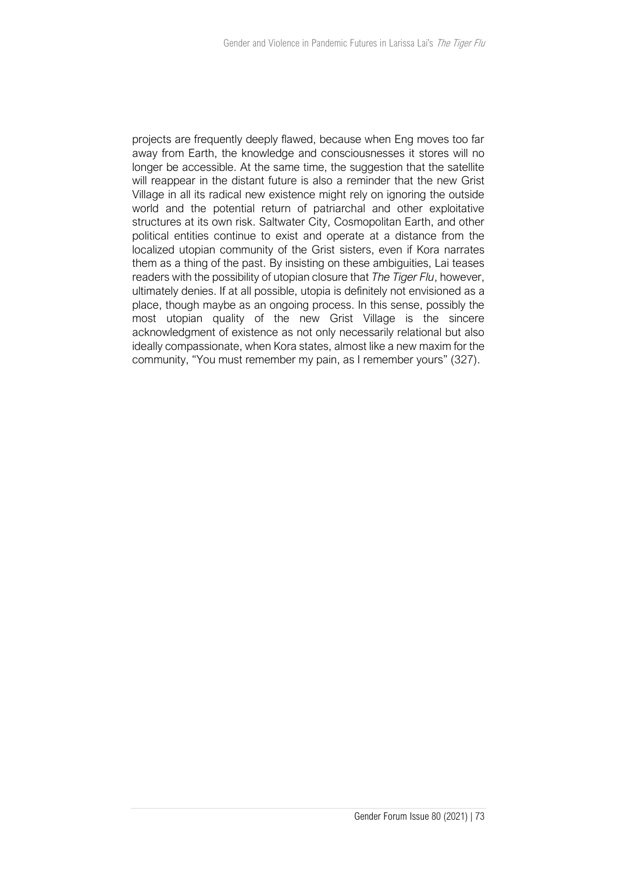projects are frequently deeply flawed, because when Eng moves too far away from Earth, the knowledge and consciousnesses it stores will no longer be accessible. At the same time, the suggestion that the satellite will reappear in the distant future is also a reminder that the new Grist Village in all its radical new existence might rely on ignoring the outside world and the potential return of patriarchal and other exploitative structures at its own risk. Saltwater City, Cosmopolitan Earth, and other political entities continue to exist and operate at a distance from the localized utopian community of the Grist sisters, even if Kora narrates them as a thing of the past. By insisting on these ambiguities, Lai teases readers with the possibility of utopian closure that *The Tiger Flu*, however, ultimately denies. If at all possible, utopia is definitely not envisioned as a place, though maybe as an ongoing process. In this sense, possibly the most utopian quality of the new Grist Village is the sincere acknowledgment of existence as not only necessarily relational but also ideally compassionate, when Kora states, almost like a new maxim for the community, "You must remember my pain, as I remember yours" (327).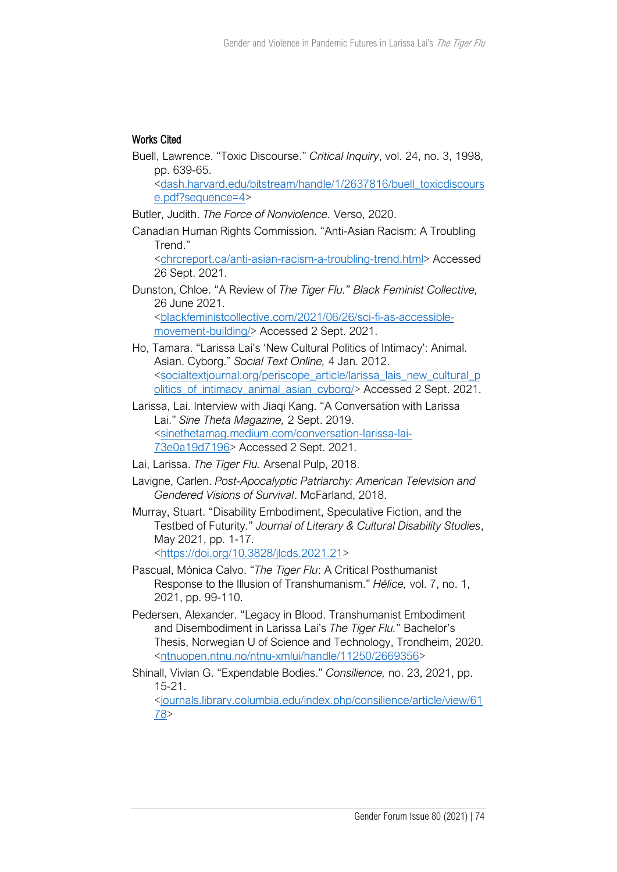## Works Cited

Buell, Lawrence. "Toxic Discourse." *Critical Inquiry*, vol. 24, no. 3, 1998, pp. 639-65.

[<dash.harvard.edu/bitstream/handle/1/2637816/buell\\_toxicdiscours](https://dash.harvard.edu/bitstream/handle/1/2637816/buell_toxicdiscourse.pdf?sequence=4) [e.pdf?sequence=4>](https://dash.harvard.edu/bitstream/handle/1/2637816/buell_toxicdiscourse.pdf?sequence=4)

Butler, Judith. *The Force of Nonviolence.* Verso, 2020.

Canadian Human Rights Commission. "Anti-Asian Racism: A Troubling Trend."

[<chrcreport.ca/anti-asian-racism-a-troubling-trend.html>](http://chrcreport.ca/anti-asian-racism-a-troubling-trend.html) Accessed 26 Sept. 2021.

Dunston, Chloe. "A Review of *The Tiger Flu.*" *Black Feminist Collective,* 26 June 2021. [<blackfeministcollective.com/2021/06/26/sci-fi-as-accessible](https://blackfeministcollective.com/2021/06/26/sci-fi-as-accessible-movement-building/)[movement-building/>](https://blackfeministcollective.com/2021/06/26/sci-fi-as-accessible-movement-building/) Accessed 2 Sept. 2021.

Ho, Tamara. "Larissa Lai's 'New Cultural Politics of Intimacy': Animal. Asian. Cyborg." *Social Text Online,* 4 Jan. 2012. [<socialtextjournal.org/periscope\\_article/larissa\\_lais\\_new\\_cultural\\_p](https://socialtextjournal.org/periscope_article/larissa_lais_new_cultural_politics_of_intimacy_animal_asian_cyborg/) [olitics\\_of\\_intimacy\\_animal\\_asian\\_cyborg/>](https://socialtextjournal.org/periscope_article/larissa_lais_new_cultural_politics_of_intimacy_animal_asian_cyborg/) Accessed 2 Sept. 2021.

Larissa, Lai. Interview with Jiaqi Kang. "A Conversation with Larissa Lai." *Sine Theta Magazine,* 2 Sept. 2019. [<sinethetamag.medium.com/conversation-larissa-lai-](https://sinethetamag.medium.com/conversation-larissa-lai-73e0a19d7196)[73e0a19d7196>](https://sinethetamag.medium.com/conversation-larissa-lai-73e0a19d7196) Accessed 2 Sept. 2021.

- Lai, Larissa. *The Tiger Flu.* Arsenal Pulp, 2018.
- Lavigne, Carlen. *Post-Apocalyptic Patriarchy: American Television and Gendered Visions of Survival*. McFarland, 2018.

Murray, Stuart. "Disability Embodiment, Speculative Fiction, and the Testbed of Futurity." *Journal of Literary & Cultural Disability Studies*, May 2021, pp. 1-17. [<https://doi.org/10.3828/jlcds.2021.21>](https://doi.org/10.3828/jlcds.2021.21)

Pascual, Mónica Calvo. "*The Tiger Flu*: A Critical Posthumanist Response to the Illusion of Transhumanism." *Hélice,* vol. 7, no. 1, 2021, pp. 99-110.

- Pedersen, Alexander. "Legacy in Blood. Transhumanist Embodiment and Disembodiment in Larissa Lai's *The Tiger Flu.*" Bachelor's Thesis, Norwegian U of Science and Technology, Trondheim, 2020. [<ntnuopen.ntnu.no/ntnu-xmlui/handle/11250/2669356>](http://www.ntnuopen.ntnu.no/ntnu-xmlui/handle/11250/2669356)
- Shinall, Vivian G. "Expendable Bodies." *Consilience,* no. 23, 2021, pp. 15-21.

[<journals.library.columbia.edu/index.php/consilience/article/view/61](http://www.journals.library.columbia.edu/index.php/consilience/article/view/6178) [78>](http://www.journals.library.columbia.edu/index.php/consilience/article/view/6178)